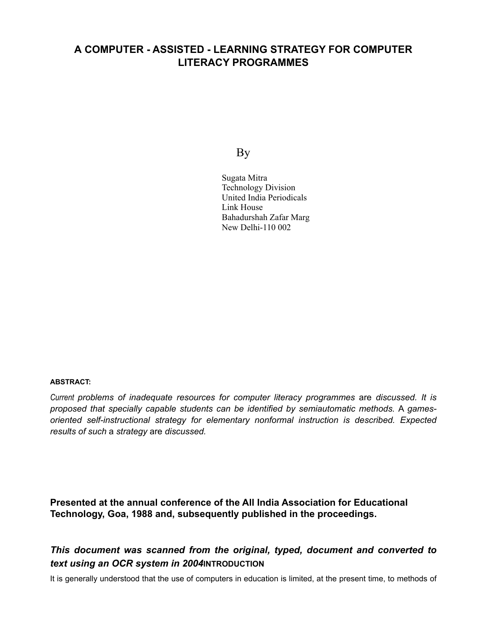# **A COMPUTER - ASSISTED - LEARNING STRATEGY FOR COMPUTER LITERACY PROGRAMMES**

By

Sugata Mitra Technology Division United India Periodicals Link House Bahadurshah Zafar Marg New Delhi-110 002

## **ABSTRACT:**

*Current problems of inadequate resources for computer literacy programmes* are *discussed. It is proposed that specially capable students can be identified by semiautomatic methods.* A *gamesoriented self-instructional strategy for elementary nonformal instruction is described. Expected results of such* a *strategy* are *discussed.*

**Presented at the annual conference of the All India Association for Educational Technology, Goa, 1988 and, subsequently published in the proceedings.**

## *This document was scanned from the original, typed, document and converted to text using an OCR system in 2004***INTRODUCTION**

It is generally understood that the use of computers in education is limited, at the present time, to methods of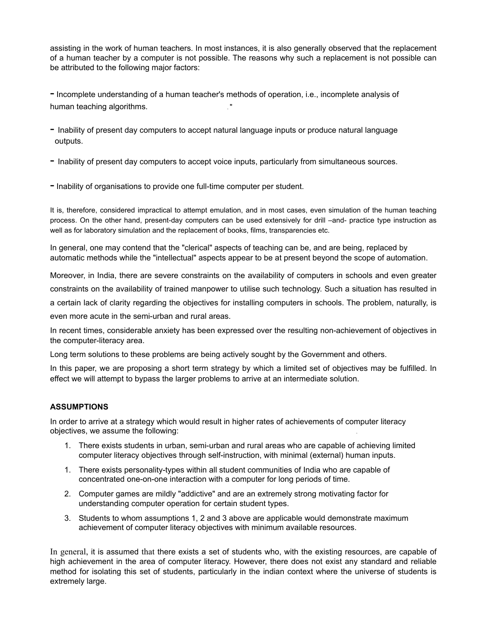assisting in the work of human teachers. In most instances, it is also generally observed that the replacement of a human teacher by a computer is not possible. The reasons why such a replacement is not possible can be attributed to the following major factors:

- Incomplete understanding of a human teacher's methods of operation, i.e., incomplete analysis of human teaching algorithms.

- Inability of present day computers to accept natural language inputs or produce natural language outputs.

- Inability of present day computers to accept voice inputs, particularly from simultaneous sources.

- Inability of organisations to provide one full-time computer per student.

It is, therefore, considered impractical to attempt emulation, and in most cases, even simulation of the human teaching process. On the other hand, present-day computers can be used extensively for drill –and- practice type instruction as well as for laboratory simulation and the replacement of books, films, transparencies etc.

In general, one may contend that the "clerical" aspects of teaching can be, and are being, replaced by automatic methods while the "intellectual" aspects appear to be at present beyond the scope of automation.

Moreover, in India, there are severe constraints on the availability of computers in schools and even greater constraints on the availability of trained manpower to utilise such technology. Such a situation has resulted in

a certain lack of clarity regarding the objectives for installing computers in schools. The problem, naturally, is

even more acute in the semi-urban and rural areas.

In recent times, considerable anxiety has been expressed over the resulting non-achievement of objectives in the computer-literacy area.

Long term solutions to these problems are being actively sought by the Government and others.

In this paper, we are proposing a short term strategy by which a limited set of objectives may be fulfilled. In effect we will attempt to bypass the larger problems to arrive at an intermediate solution.

### **ASSUMPTIONS**

In order to arrive at a strategy which would result in higher rates of achievements of computer literacy objectives, we assume the following: .

- 1. There exists students in urban, semi-urban and rural areas who are capable of achieving limited computer literacy objectives through self-instruction, with minimal (external) human inputs.
- 1. There exists personality-types within all student communities of India who are capable of concentrated one-on-one interaction with a computer for long periods of time.
- 2. Computer games are mildly "addictive" and are an extremely strong motivating factor for understanding computer operation for certain student types.
- 3. Students to whom assumptions 1, 2 and 3 above are applicable would demonstrate maximum achievement of computer literacy objectives with minimum available resources.

In general, it is assumed that there exists a set of students who, with the existing resources, are capable of high achievement in the area of computer literacy. However, there does not exist any standard and reliable method for isolating this set of students, particularly in the indian context where the universe of students is extremely large.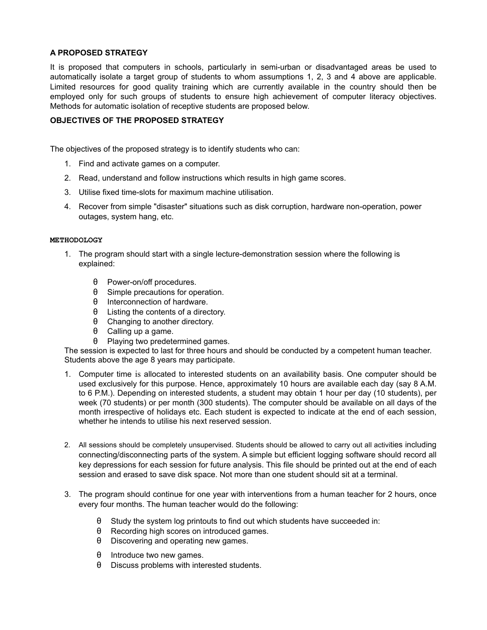#### **A PROPOSED STRATEGY**

It is proposed that computers in schools, particularly in semi-urban or disadvantaged areas be used to automatically isolate a target group of students to whom assumptions 1, 2, 3 and 4 above are applicable. Limited resources for good quality training which are currently available in the country should then be employed only for such groups of students to ensure high achievement of computer literacy objectives. Methods for automatic isolation of receptive students are proposed below.

#### **OBJECTIVES OF THE PROPOSED STRATEGY**

The objectives of the proposed strategy is to identify students who can:

- 1. Find and activate games on a computer.
- 2. Read, understand and follow instructions which results in high game scores.
- 3. Utilise fixed time-slots for maximum machine utilisation.
- 4. Recover from simple "disaster" situations such as disk corruption, hardware non-operation, power outages, system hang, etc.

#### **METHODOLOGY**

- 1. The program should start with a single lecture-demonstration session where the following is explained:
	- θ Power-on/off procedures.
	- θ Simple precautions for operation.
	- θ Interconnection of hardware.
	- θ Listing the contents of a directory.
	- θ Changing to another directory.
	- θ Calling up a game.
	- θ Playing two predetermined games.

The session is expected to last for three hours and should be conducted by a competent human teacher. Students above the age 8 years may participate.

- 1. Computer time is allocated to interested students on an availability basis. One computer should be used exclusively for this purpose. Hence, approximately 10 hours are available each day (say 8 A.M. to 6 P.M.). Depending on interested students, a student may obtain 1 hour per day (10 students), per week (70 students) or per month (300 students). The computer should be available on all days of the month irrespective of holidays etc. Each student is expected to indicate at the end of each session, whether he intends to utilise his next reserved session.
- 2. All sessions should be completely unsupervised. Students should be allowed to carry out all activities including connecting/disconnecting parts of the system. A simple but efficient logging software should record all key depressions for each session for future analysis. This file should be printed out at the end of each session and erased to save disk space. Not more than one student should sit at a terminal.
- 3. The program should continue for one year with interventions from a human teacher for 2 hours, once every four months. The human teacher would do the following:
	- θ Study the system log printouts to find out which students have succeeded in:
	- θ Recording high scores on introduced games.
	- θ Discovering and operating new games.
	- θ Introduce two new games.
	- θ Discuss problems with interested students.